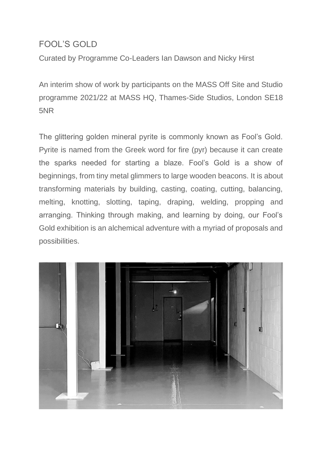## FOOL'S GOLD

Curated by Programme Co-Leaders Ian Dawson and Nicky Hirst

An interim show of work by participants on the MASS Off Site and Studio programme 2021/22 at MASS HQ, Thames-Side Studios, London SE18 5NR

The glittering golden mineral pyrite is commonly known as Fool's Gold. Pyrite is named from the Greek word for fire (pyr) because it can create the sparks needed for starting a blaze. Fool's Gold is a show of beginnings, from tiny metal glimmers to large wooden beacons. It is about transforming materials by building, casting, coating, cutting, balancing, melting, knotting, slotting, taping, draping, welding, propping and arranging. Thinking through making, and learning by doing, our Fool's Gold exhibition is an alchemical adventure with a myriad of proposals and possibilities.

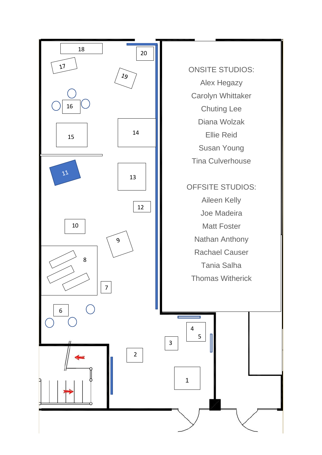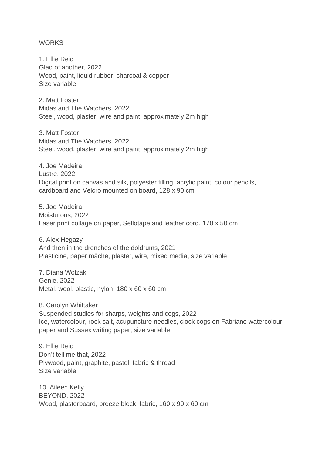## **WORKS**

1. Ellie Reid Glad of another, 2022 Wood, paint, liquid rubber, charcoal & copper Size variable

2. Matt Foster Midas and The Watchers, 2022 Steel, wood, plaster, wire and paint, approximately 2m high

3. Matt Foster Midas and The Watchers, 2022 Steel, wood, plaster, wire and paint, approximately 2m high

4. Joe Madeira Lustre, 2022 Digital print on canvas and silk, polyester filling, acrylic paint, colour pencils, cardboard and Velcro mounted on board, 128 x 90 cm

5. Joe Madeira Moisturous, 2022 Laser print collage on paper, Sellotape and leather cord, 170 x 50 cm

6. Alex Hegazy And then in the drenches of the doldrums, 2021 Plasticine, paper mâché, plaster, wire, mixed media, size variable

7. Diana Wolzak Genie, 2022 Metal, wool, plastic, nylon, 180 x 60 x 60 cm

8. Carolyn Whittaker Suspended studies for sharps, weights and cogs, 2022 Ice, watercolour, rock salt, acupuncture needles, clock cogs on Fabriano watercolour paper and Sussex writing paper, size variable

9. Ellie Reid Don't tell me that, 2022 Plywood, paint, graphite, pastel, fabric & thread Size variable

10. Aileen Kelly BEYOND, 2022 Wood, plasterboard, breeze block, fabric, 160 x 90 x 60 cm